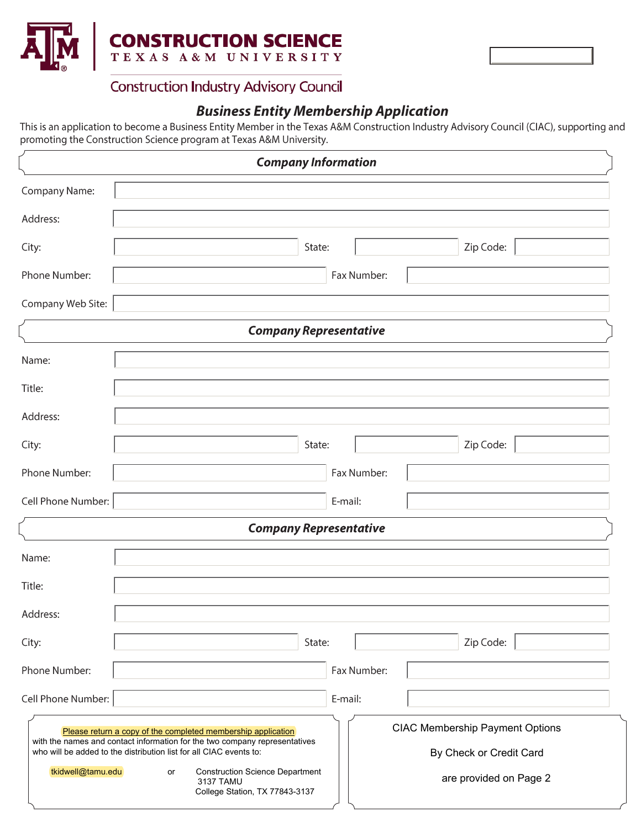

### **Construction Industry Advisory Council**

## **Business Entity Membership Application**

This is an application to become a Business Entity Member in the Texas A&M Construction Industry Advisory Council (CIAC), supporting and promoting the Construction Science program at Texas A&M University.

|                               | <b>Company Information</b>                                                                                                                                                                                                                                                                                                                                                                                     |  |  |  |
|-------------------------------|----------------------------------------------------------------------------------------------------------------------------------------------------------------------------------------------------------------------------------------------------------------------------------------------------------------------------------------------------------------------------------------------------------------|--|--|--|
| Company Name:                 |                                                                                                                                                                                                                                                                                                                                                                                                                |  |  |  |
| Address:                      |                                                                                                                                                                                                                                                                                                                                                                                                                |  |  |  |
| City:                         | State:<br>Zip Code:                                                                                                                                                                                                                                                                                                                                                                                            |  |  |  |
| Phone Number:                 | Fax Number:                                                                                                                                                                                                                                                                                                                                                                                                    |  |  |  |
| Company Web Site:             |                                                                                                                                                                                                                                                                                                                                                                                                                |  |  |  |
| <b>Company Representative</b> |                                                                                                                                                                                                                                                                                                                                                                                                                |  |  |  |
| Name:                         |                                                                                                                                                                                                                                                                                                                                                                                                                |  |  |  |
| Title:                        |                                                                                                                                                                                                                                                                                                                                                                                                                |  |  |  |
| Address:                      |                                                                                                                                                                                                                                                                                                                                                                                                                |  |  |  |
| City:                         | Zip Code:<br>State:                                                                                                                                                                                                                                                                                                                                                                                            |  |  |  |
| Phone Number:                 | Fax Number:                                                                                                                                                                                                                                                                                                                                                                                                    |  |  |  |
| Cell Phone Number:            | E-mail:                                                                                                                                                                                                                                                                                                                                                                                                        |  |  |  |
| <b>Company Representative</b> |                                                                                                                                                                                                                                                                                                                                                                                                                |  |  |  |
| Name:                         |                                                                                                                                                                                                                                                                                                                                                                                                                |  |  |  |
| Title:                        |                                                                                                                                                                                                                                                                                                                                                                                                                |  |  |  |
| Address:                      |                                                                                                                                                                                                                                                                                                                                                                                                                |  |  |  |
| City:                         | State:<br>Zip Code:                                                                                                                                                                                                                                                                                                                                                                                            |  |  |  |
| Phone Number:                 | Fax Number:                                                                                                                                                                                                                                                                                                                                                                                                    |  |  |  |
| Cell Phone Number:            | E-mail:                                                                                                                                                                                                                                                                                                                                                                                                        |  |  |  |
| tkidwell@tamu.edu             | <b>CIAC Membership Payment Options</b><br>Please return a copy of the completed membership application<br>with the names and contact information for the two company representatives<br>who will be added to the distribution list for all CIAC events to:<br>By Check or Credit Card<br><b>Construction Science Department</b><br>or<br>are provided on Page 2<br>3137 TAMU<br>College Station, TX 77843-3137 |  |  |  |